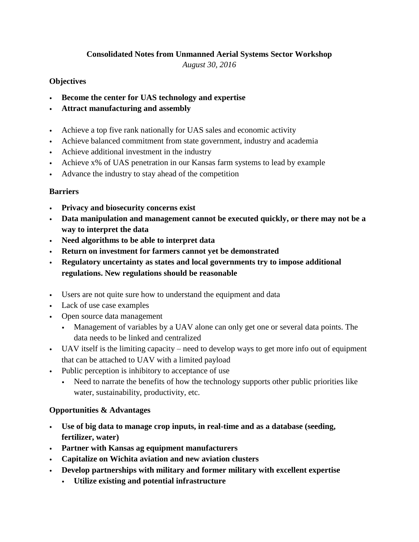## **Consolidated Notes from Unmanned Aerial Systems Sector Workshop**

*August 30, 2016*

## **Objectives**

- **Become the center for UAS technology and expertise**
- **Attract manufacturing and assembly**
- Achieve a top five rank nationally for UAS sales and economic activity
- Achieve balanced commitment from state government, industry and academia
- Achieve additional investment in the industry
- Achieve x% of UAS penetration in our Kansas farm systems to lead by example
- Advance the industry to stay ahead of the competition

#### **Barriers**

- **Privacy and biosecurity concerns exist**
- **Data manipulation and management cannot be executed quickly, or there may not be a way to interpret the data**
- **Need algorithms to be able to interpret data**
- **Return on investment for farmers cannot yet be demonstrated**
- **Regulatory uncertainty as states and local governments try to impose additional regulations. New regulations should be reasonable**
- Users are not quite sure how to understand the equipment and data
- Lack of use case examples
- Open source data management
	- Management of variables by a UAV alone can only get one or several data points. The data needs to be linked and centralized
- UAV itself is the limiting capacity need to develop ways to get more info out of equipment that can be attached to UAV with a limited payload
- Public perception is inhibitory to acceptance of use
	- Need to narrate the benefits of how the technology supports other public priorities like water, sustainability, productivity, etc.

## **Opportunities & Advantages**

- **Use of big data to manage crop inputs, in real-time and as a database (seeding, fertilizer, water)**
- **Partner with Kansas ag equipment manufacturers**
- **Capitalize on Wichita aviation and new aviation clusters**
- **Develop partnerships with military and former military with excellent expertise**
	- **Utilize existing and potential infrastructure**